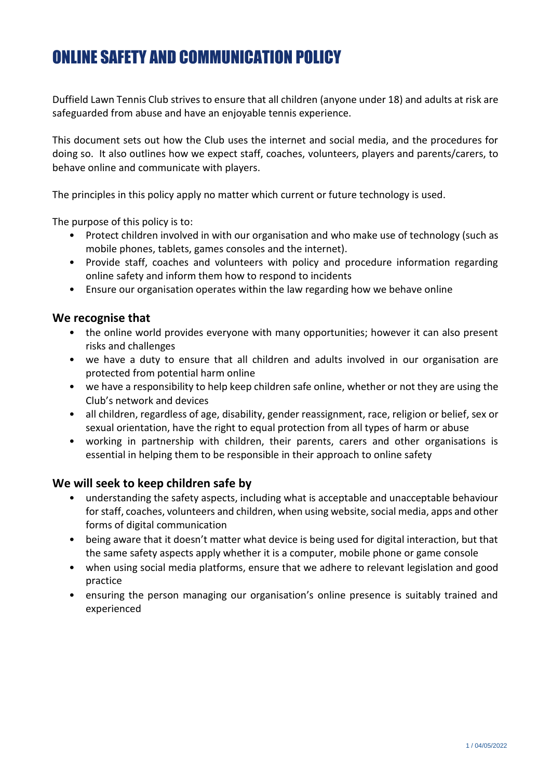# ONLINE SAFETY AND COMMUNICATION POLICY

Duffield Lawn Tennis Club strives to ensure that all children (anyone under 18) and adults at risk are safeguarded from abuse and have an enjoyable tennis experience.

This document sets out how the Club uses the internet and social media, and the procedures for doing so. It also outlines how we expect staff, coaches, volunteers, players and parents/carers, to behave online and communicate with players.

The principles in this policy apply no matter which current or future technology is used.

The purpose of this policy is to:

- Protect children involved in with our organisation and who make use of technology (such as mobile phones, tablets, games consoles and the internet).
- Provide staff, coaches and volunteers with policy and procedure information regarding online safety and inform them how to respond to incidents
- Ensure our organisation operates within the law regarding how we behave online

#### **We recognise that**

- the online world provides everyone with many opportunities; however it can also present risks and challenges
- we have a duty to ensure that all children and adults involved in our organisation are protected from potential harm online
- we have a responsibility to help keep children safe online, whether or not they are using the Club's network and devices
- all children, regardless of age, disability, gender reassignment, race, religion or belief, sex or sexual orientation, have the right to equal protection from all types of harm or abuse
- working in partnership with children, their parents, carers and other organisations is essential in helping them to be responsible in their approach to online safety

#### **We will seek to keep children safe by**

- understanding the safety aspects, including what is acceptable and unacceptable behaviour for staff, coaches, volunteers and children, when using website, social media, apps and other forms of digital communication
- being aware that it doesn't matter what device is being used for digital interaction, but that the same safety aspects apply whether it is a computer, mobile phone or game console
- when using social media platforms, ensure that we adhere to relevant legislation and good practice
- ensuring the person managing our organisation's online presence is suitably trained and experienced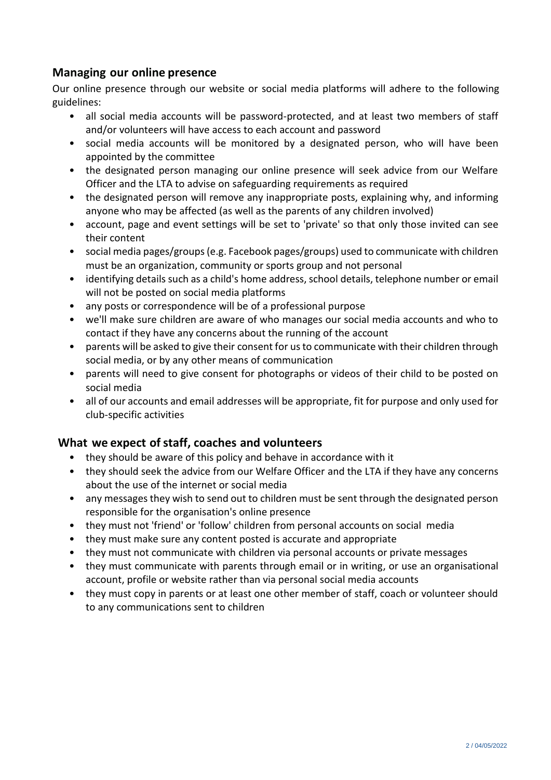## **Managing our online presence**

Our online presence through our website or social media platforms will adhere to the following guidelines:

- all social media accounts will be password-protected, and at least two members of staff and/or volunteers will have access to each account and password
- social media accounts will be monitored by a designated person, who will have been appointed by the committee
- the designated person managing our online presence will seek advice from our Welfare Officer and the LTA to advise on safeguarding requirements as required
- the designated person will remove any inappropriate posts, explaining why, and informing anyone who may be affected (as well as the parents of any children involved)
- account, page and event settings will be set to 'private' so that only those invited can see their content
- social media pages/groups (e.g. Facebook pages/groups) used to communicate with children must be an organization, community or sports group and not personal
- identifying details such as a child's home address, school details, telephone number or email will not be posted on social media platforms
- any posts or correspondence will be of a professional purpose
- we'll make sure children are aware of who manages our social media accounts and who to contact if they have any concerns about the running of the account
- parents will be asked to give their consent for us to communicate with their children through social media, or by any other means of communication
- parents will need to give consent for photographs or videos of their child to be posted on social media
- all of our accounts and email addresses will be appropriate, fit for purpose and only used for club-specific activities

# **What** we expect of staff, coaches and volunteers

- they should be aware of this policy and behave in accordance with it
- they should seek the advice from our Welfare Officer and the LTA if they have any concerns about the use of the internet or social media
- any messages they wish to send out to children must be sent through the designated person responsible for the organisation's online presence
- they must not 'friend' or 'follow' children from personal accounts on social media
- they must make sure any content posted is accurate and appropriate
- they must not communicate with children via personal accounts or private messages
- they must communicate with parents through email or in writing, or use an organisational account, profile or website rather than via personal social media accounts
- they must copy in parents or at least one other member of staff, coach or volunteer should to any communications sent to children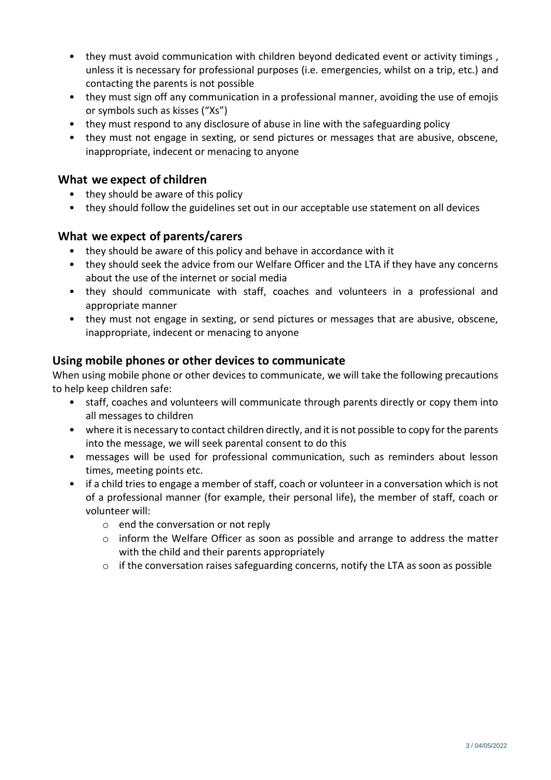- they must avoid communication with children beyond dedicated event or activity timings , unless it is necessary for professional purposes (i.e. emergencies, whilst on a trip, etc.) and contacting the parents is not possible
- they must sign off any communication in a professional manner, avoiding the use of emojis or symbols such as kisses ("Xs")
- they must respond to any disclosure of abuse in line with the safeguarding policy
- they must not engage in sexting, or send pictures or messages that are abusive, obscene, inappropriate, indecent or menacing to anyone

#### **What we expect of children**

- they should be aware of this policy
- they should follow the guidelines set out in our acceptable use statement on all devices

## **What we expect of parents/carers**

- they should be aware of this policy and behave in accordance with it
- they should seek the advice from our Welfare Officer and the LTA if they have any concerns about the use of the internet or social media
- they should communicate with staff, coaches and volunteers in a professional and appropriate manner
- they must not engage in sexting, or send pictures or messages that are abusive, obscene, inappropriate, indecent or menacing to anyone

#### **Using mobile phones or other devices to communicate**

When using mobile phone or other devices to communicate, we will take the following precautions to help keep children safe:

- staff, coaches and volunteers will communicate through parents directly or copy them into all messages to children
- where it is necessary to contact children directly, and it is not possible to copy for the parents into the message, we will seek parental consent to do this
- messages will be used for professional communication, such as reminders about lesson times, meeting points etc.
- if a child tries to engage a member of staff, coach or volunteer in a conversation which is not of a professional manner (for example, their personal life), the member of staff, coach or volunteer will:
	- o end the conversation or not reply
	- $\circ$  inform the Welfare Officer as soon as possible and arrange to address the matter with the child and their parents appropriately
	- o if the conversation raises safeguarding concerns, notify the LTA as soon as possible